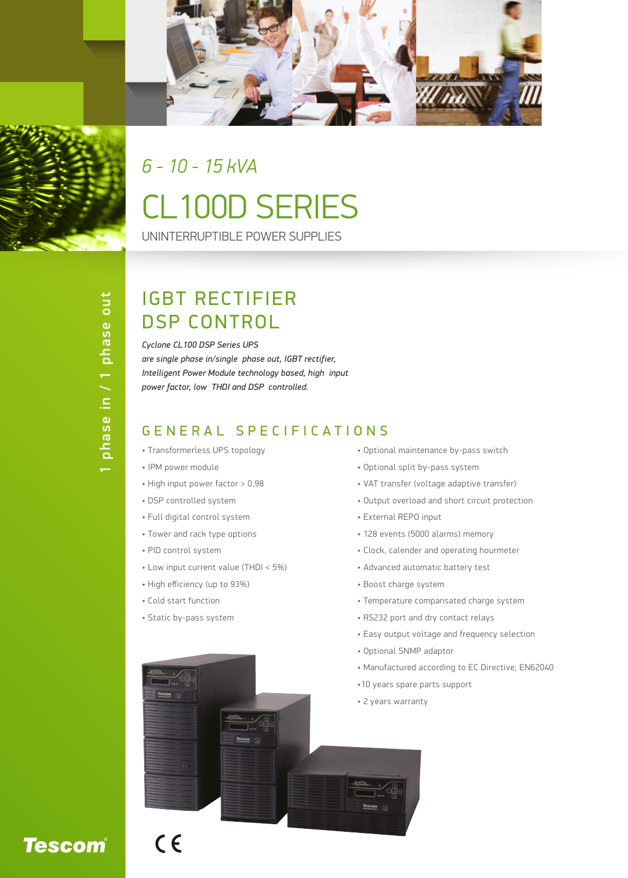

# CL100D SERIES UNINTERRUPTIBLE POWER SUPPLIES *6 - 10 - 15 kVA*

### IGBT RECTIFIER DSP CONTROL

*Cyclone CL100 DSP Series UPS are single phase in/single phase out, IGBT rectifier, Intelligent Power Module technology based, high input power factor, low THDI and DSP controlled.*

#### GENERAL SPECIFICATIONS

- Transformerless UPS topology
- IPM power module
- High input power factor > 0,98
- DSP controlled system
- Full digital control system
- Tower and rack type options
- PID control system
- Low input current value (THDI < 5%)
- High efficiency (up to 93%)
- Cold start function

 $C<sub>6</sub>$ 

• Static by-pass system

- Optional maintenance by-pass switch
- Optional split by-pass system
- VAT transfer (voltage adaptive transfer)
- Output overload and short circuit protection
- External REPO input
- 128 events (5000 alarms) memory
- Clock, calender and operating hourmeter
- Advanced automatic battery test
- Boost charge system
- Temperature compansated charge system
- RS232 port and dry contact relays
- Easy output voltage and frequency selection
- Optional SNMP adaptor
- Manufactured according to EC Directive; EN62040
- •10 years spare parts support
- 2 years warranty